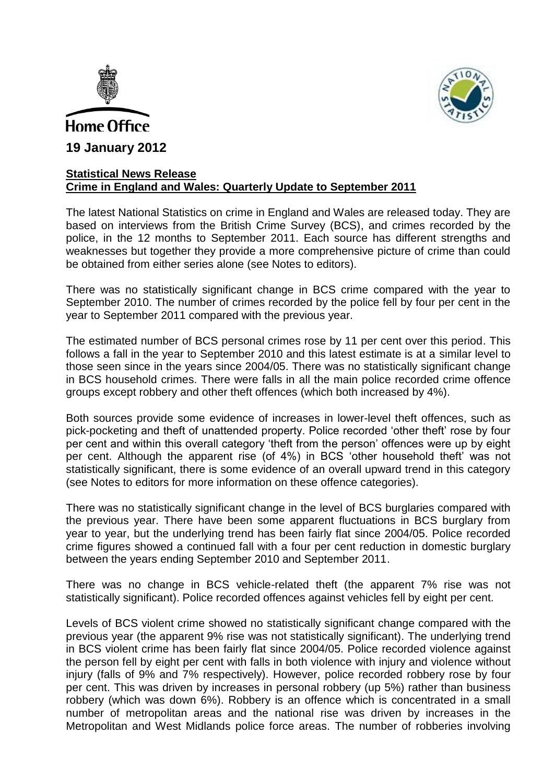



## **Statistical News Release Crime in England and Wales: Quarterly Update to September 2011**

The latest National Statistics on crime in England and Wales are released today. They are based on interviews from the British Crime Survey (BCS), and crimes recorded by the police, in the 12 months to September 2011. Each source has different strengths and weaknesses but together they provide a more comprehensive picture of crime than could be obtained from either series alone (see Notes to editors).

There was no statistically significant change in BCS crime compared with the year to September 2010. The number of crimes recorded by the police fell by four per cent in the year to September 2011 compared with the previous year.

The estimated number of BCS personal crimes rose by 11 per cent over this period. This follows a fall in the year to September 2010 and this latest estimate is at a similar level to those seen since in the years since 2004/05. There was no statistically significant change in BCS household crimes. There were falls in all the main police recorded crime offence groups except robbery and other theft offences (which both increased by 4%).

Both sources provide some evidence of increases in lower-level theft offences, such as pick-pocketing and theft of unattended property. Police recorded 'other theft' rose by four per cent and within this overall category 'theft from the person' offences were up by eight per cent. Although the apparent rise (of 4%) in BCS 'other household theft' was not statistically significant, there is some evidence of an overall upward trend in this category (see Notes to editors for more information on these offence categories).

There was no statistically significant change in the level of BCS burglaries compared with the previous year. There have been some apparent fluctuations in BCS burglary from year to year, but the underlying trend has been fairly flat since 2004/05. Police recorded crime figures showed a continued fall with a four per cent reduction in domestic burglary between the years ending September 2010 and September 2011.

There was no change in BCS vehicle-related theft (the apparent 7% rise was not statistically significant). Police recorded offences against vehicles fell by eight per cent.

Levels of BCS violent crime showed no statistically significant change compared with the previous year (the apparent 9% rise was not statistically significant). The underlying trend in BCS violent crime has been fairly flat since 2004/05. Police recorded violence against the person fell by eight per cent with falls in both violence with injury and violence without injury (falls of 9% and 7% respectively). However, police recorded robbery rose by four per cent. This was driven by increases in personal robbery (up 5%) rather than business robbery (which was down 6%). Robbery is an offence which is concentrated in a small number of metropolitan areas and the national rise was driven by increases in the Metropolitan and West Midlands police force areas. The number of robberies involving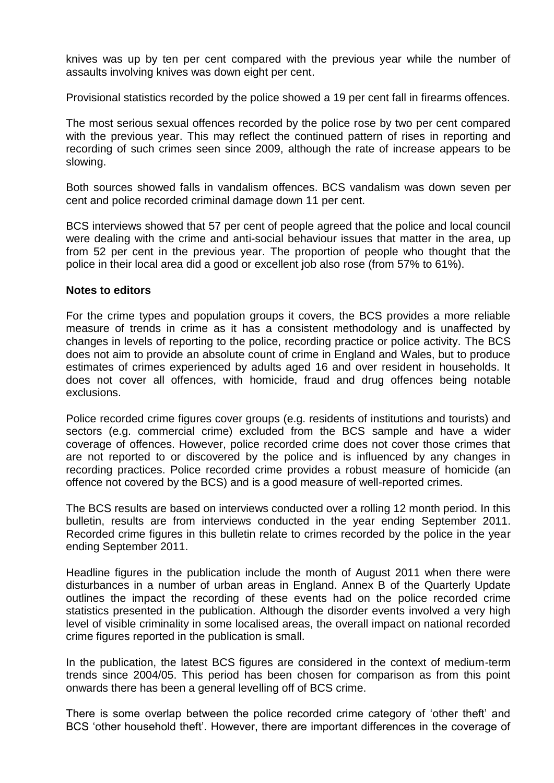knives was up by ten per cent compared with the previous year while the number of assaults involving knives was down eight per cent.

Provisional statistics recorded by the police showed a 19 per cent fall in firearms offences.

The most serious sexual offences recorded by the police rose by two per cent compared with the previous year. This may reflect the continued pattern of rises in reporting and recording of such crimes seen since 2009, although the rate of increase appears to be slowing.

Both sources showed falls in vandalism offences. BCS vandalism was down seven per cent and police recorded criminal damage down 11 per cent.

BCS interviews showed that 57 per cent of people agreed that the police and local council were dealing with the crime and anti-social behaviour issues that matter in the area, up from 52 per cent in the previous year. The proportion of people who thought that the police in their local area did a good or excellent job also rose (from 57% to 61%).

## **Notes to editors**

For the crime types and population groups it covers, the BCS provides a more reliable measure of trends in crime as it has a consistent methodology and is unaffected by changes in levels of reporting to the police, recording practice or police activity. The BCS does not aim to provide an absolute count of crime in England and Wales, but to produce estimates of crimes experienced by adults aged 16 and over resident in households. It does not cover all offences, with homicide, fraud and drug offences being notable exclusions.

Police recorded crime figures cover groups (e.g. residents of institutions and tourists) and sectors (e.g. commercial crime) excluded from the BCS sample and have a wider coverage of offences. However, police recorded crime does not cover those crimes that are not reported to or discovered by the police and is influenced by any changes in recording practices. Police recorded crime provides a robust measure of homicide (an offence not covered by the BCS) and is a good measure of well-reported crimes.

The BCS results are based on interviews conducted over a rolling 12 month period. In this bulletin, results are from interviews conducted in the year ending September 2011. Recorded crime figures in this bulletin relate to crimes recorded by the police in the year ending September 2011.

Headline figures in the publication include the month of August 2011 when there were disturbances in a number of urban areas in England. Annex B of the Quarterly Update outlines the impact the recording of these events had on the police recorded crime statistics presented in the publication. Although the disorder events involved a very high level of visible criminality in some localised areas, the overall impact on national recorded crime figures reported in the publication is small.

In the publication, the latest BCS figures are considered in the context of medium-term trends since 2004/05. This period has been chosen for comparison as from this point onwards there has been a general levelling off of BCS crime.

There is some overlap between the police recorded crime category of 'other theft' and BCS 'other household theft'. However, there are important differences in the coverage of